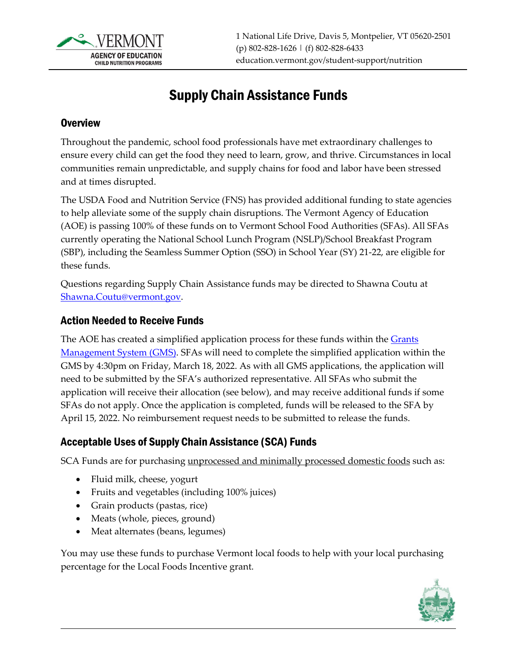

# Supply Chain Assistance Funds

### **Overview**

Throughout the pandemic, school food professionals have met extraordinary challenges to ensure every child can get the food they need to learn, grow, and thrive. Circumstances in local communities remain unpredictable, and supply chains for food and labor have been stressed and at times disrupted.

The USDA Food and Nutrition Service (FNS) has provided additional funding to state agencies to help alleviate some of the supply chain disruptions. The Vermont Agency of Education (AOE) is passing 100% of these funds on to Vermont School Food Authorities (SFAs). All SFAs currently operating the National School Lunch Program (NSLP)/School Breakfast Program (SBP), including the Seamless Summer Option (SSO) in School Year (SY) 21-22, are eligible for these funds.

Questions regarding Supply Chain Assistance funds may be directed to Shawna Coutu at [Shawna.Coutu@vermont.gov.](mailto:Shawna.Coutu@vermont.gov)

#### Action Needed to Receive Funds

The AOE has created a simplified application process for these funds within the Grants [Management System \(GMS\).](https://vtaoe.mtwgms.org/vermontgmsweb/logon.aspx) SFAs will need to complete the simplified application within the GMS by 4:30pm on Friday, March 18, 2022. As with all GMS applications, the application will need to be submitted by the SFA's authorized representative. All SFAs who submit the application will receive their allocation (see below), and may receive additional funds if some SFAs do not apply. Once the application is completed, funds will be released to the SFA by April 15, 2022. No reimbursement request needs to be submitted to release the funds.

## Acceptable Uses of Supply Chain Assistance (SCA) Funds

SCA Funds are for purchasing unprocessed and minimally processed domestic foods such as:

- Fluid milk, cheese, yogurt
- Fruits and vegetables (including 100% juices)
- Grain products (pastas, rice)
- Meats (whole, pieces, ground)
- Meat alternates (beans, legumes)

You may use these funds to purchase Vermont local foods to help with your local purchasing percentage for the Local Foods Incentive grant.

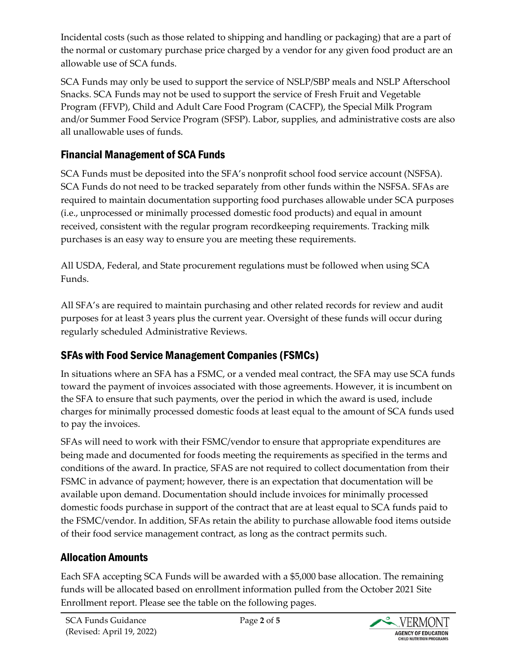Incidental costs (such as those related to shipping and handling or packaging) that are a part of the normal or customary purchase price charged by a vendor for any given food product are an allowable use of SCA funds.

SCA Funds may only be used to support the service of NSLP/SBP meals and NSLP Afterschool Snacks. SCA Funds may not be used to support the service of Fresh Fruit and Vegetable Program (FFVP), Child and Adult Care Food Program (CACFP), the Special Milk Program and/or Summer Food Service Program (SFSP). Labor, supplies, and administrative costs are also all unallowable uses of funds.

## Financial Management of SCA Funds

SCA Funds must be deposited into the SFA's nonprofit school food service account (NSFSA). SCA Funds do not need to be tracked separately from other funds within the NSFSA. SFAs are required to maintain documentation supporting food purchases allowable under SCA purposes (i.e., unprocessed or minimally processed domestic food products) and equal in amount received, consistent with the regular program recordkeeping requirements. Tracking milk purchases is an easy way to ensure you are meeting these requirements.

All USDA, Federal, and State procurement regulations must be followed when using SCA Funds.

All SFA's are required to maintain purchasing and other related records for review and audit purposes for at least 3 years plus the current year. Oversight of these funds will occur during regularly scheduled Administrative Reviews.

# SFAs with Food Service Management Companies (FSMCs)

In situations where an SFA has a FSMC, or a vended meal contract, the SFA may use SCA funds toward the payment of invoices associated with those agreements. However, it is incumbent on the SFA to ensure that such payments, over the period in which the award is used, include charges for minimally processed domestic foods at least equal to the amount of SCA funds used to pay the invoices.

SFAs will need to work with their FSMC/vendor to ensure that appropriate expenditures are being made and documented for foods meeting the requirements as specified in the terms and conditions of the award. In practice, SFAS are not required to collect documentation from their FSMC in advance of payment; however, there is an expectation that documentation will be available upon demand. Documentation should include invoices for minimally processed domestic foods purchase in support of the contract that are at least equal to SCA funds paid to the FSMC/vendor. In addition, SFAs retain the ability to purchase allowable food items outside of their food service management contract, as long as the contract permits such.

## Allocation Amounts

Each SFA accepting SCA Funds will be awarded with a \$5,000 base allocation. The remaining funds will be allocated based on enrollment information pulled from the October 2021 Site Enrollment report. Please see the table on the following pages.

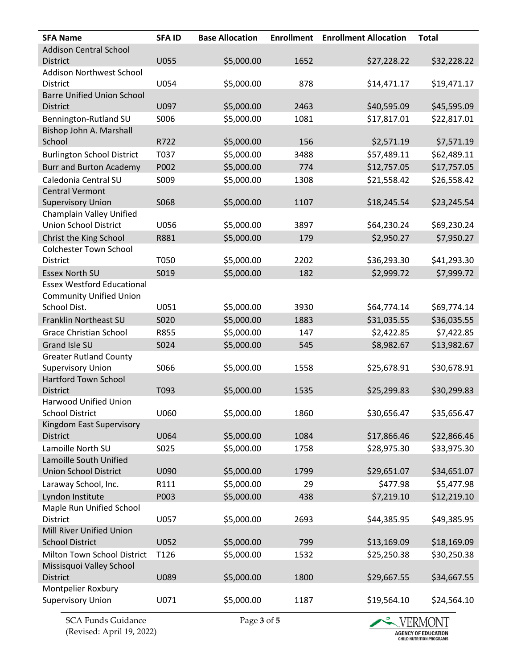| <b>SFA Name</b>                   | <b>SFAID</b> | <b>Base Allocation</b> | <b>Enrollment</b> | <b>Enrollment Allocation</b> | <b>Total</b> |
|-----------------------------------|--------------|------------------------|-------------------|------------------------------|--------------|
| <b>Addison Central School</b>     |              |                        |                   |                              |              |
| <b>District</b>                   | <b>U055</b>  | \$5,000.00             | 1652              | \$27,228.22                  | \$32,228.22  |
| Addison Northwest School          |              |                        |                   |                              |              |
| <b>District</b>                   | U054         | \$5,000.00             | 878               | \$14,471.17                  | \$19,471.17  |
| <b>Barre Unified Union School</b> |              |                        |                   |                              |              |
| <b>District</b>                   | U097         | \$5,000.00             | 2463              | \$40,595.09                  | \$45,595.09  |
| Bennington-Rutland SU             | S006         | \$5,000.00             | 1081              | \$17,817.01                  | \$22,817.01  |
| Bishop John A. Marshall           |              |                        |                   |                              |              |
| School                            | R722         | \$5,000.00             | 156               | \$2,571.19                   | \$7,571.19   |
| <b>Burlington School District</b> | T037         | \$5,000.00             | 3488              | \$57,489.11                  | \$62,489.11  |
| <b>Burr and Burton Academy</b>    | P002         | \$5,000.00             | 774               | \$12,757.05                  | \$17,757.05  |
| Caledonia Central SU              | S009         | \$5,000.00             | 1308              | \$21,558.42                  | \$26,558.42  |
| <b>Central Vermont</b>            |              |                        |                   |                              |              |
| <b>Supervisory Union</b>          | S068         | \$5,000.00             | 1107              | \$18,245.54                  | \$23,245.54  |
| Champlain Valley Unified          |              |                        |                   |                              |              |
| <b>Union School District</b>      | U056         | \$5,000.00             | 3897              | \$64,230.24                  | \$69,230.24  |
| Christ the King School            | R881         | \$5,000.00             | 179               | \$2,950.27                   | \$7,950.27   |
| <b>Colchester Town School</b>     |              |                        |                   |                              |              |
| District                          | T050         | \$5,000.00             | 2202              | \$36,293.30                  | \$41,293.30  |
| <b>Essex North SU</b>             | S019         | \$5,000.00             | 182               | \$2,999.72                   | \$7,999.72   |
| <b>Essex Westford Educational</b> |              |                        |                   |                              |              |
| <b>Community Unified Union</b>    |              |                        |                   |                              |              |
| School Dist.                      | U051         | \$5,000.00             | 3930              | \$64,774.14                  | \$69,774.14  |
| Franklin Northeast SU             | S020         | \$5,000.00             | 1883              | \$31,035.55                  | \$36,035.55  |
| <b>Grace Christian School</b>     | R855         | \$5,000.00             | 147               | \$2,422.85                   | \$7,422.85   |
| Grand Isle SU                     | S024         | \$5,000.00             | 545               | \$8,982.67                   | \$13,982.67  |
| <b>Greater Rutland County</b>     |              |                        |                   |                              |              |
| <b>Supervisory Union</b>          | S066         | \$5,000.00             | 1558              | \$25,678.91                  | \$30,678.91  |
| <b>Hartford Town School</b>       |              |                        |                   |                              |              |
| <b>District</b>                   | T093         | \$5,000.00             | 1535              | \$25,299.83                  | \$30,299.83  |
| <b>Harwood Unified Union</b>      |              |                        |                   |                              |              |
| <b>School District</b>            | U060         | \$5,000.00             | 1860              | \$30,656.47                  | \$35,656.47  |
| Kingdom East Supervisory          |              |                        |                   |                              |              |
| <b>District</b>                   | U064         | \$5,000.00             | 1084              | \$17,866.46                  | \$22,866.46  |
| Lamoille North SU                 | S025         | \$5,000.00             | 1758              | \$28,975.30                  | \$33,975.30  |
| Lamoille South Unified            |              |                        |                   |                              |              |
| <b>Union School District</b>      | U090         | \$5,000.00             | 1799              | \$29,651.07                  | \$34,651.07  |
| Laraway School, Inc.              | R111         | \$5,000.00             | 29                | \$477.98                     | \$5,477.98   |
| Lyndon Institute                  | P003         | \$5,000.00             | 438               | \$7,219.10                   | \$12,219.10  |
| Maple Run Unified School          |              |                        |                   |                              |              |
| District                          | U057         | \$5,000.00             | 2693              | \$44,385.95                  | \$49,385.95  |
| Mill River Unified Union          |              |                        |                   |                              |              |
| <b>School District</b>            | U052         | \$5,000.00             | 799               | \$13,169.09                  | \$18,169.09  |
| Milton Town School District       | T126         | \$5,000.00             | 1532              | \$25,250.38                  | \$30,250.38  |
| Missisquoi Valley School          |              |                        |                   |                              |              |
| <b>District</b>                   | U089         | \$5,000.00             | 1800              | \$29,667.55                  | \$34,667.55  |
| Montpelier Roxbury                |              |                        |                   |                              |              |
| <b>Supervisory Union</b>          | U071         | \$5,000.00             | 1187              | \$19,564.10                  | \$24,564.10  |

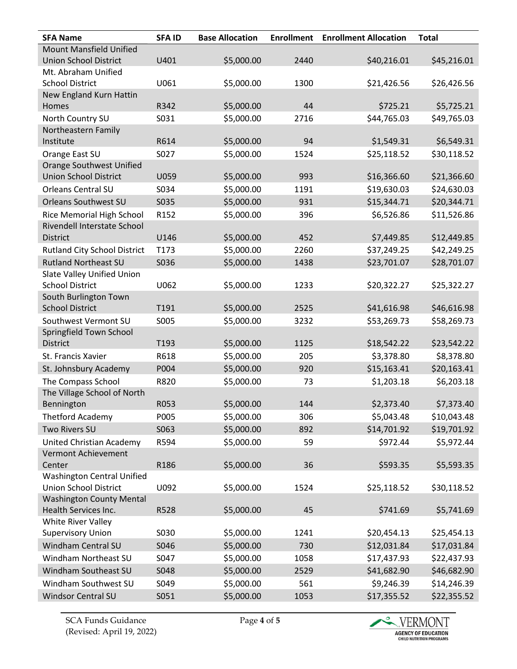| <b>SFA Name</b>                                   | <b>SFAID</b> | <b>Base Allocation</b> | <b>Enrollment</b> | <b>Enrollment Allocation</b> | <b>Total</b> |
|---------------------------------------------------|--------------|------------------------|-------------------|------------------------------|--------------|
| <b>Mount Mansfield Unified</b>                    |              |                        |                   |                              |              |
| <b>Union School District</b>                      | U401         | \$5,000.00             | 2440              | \$40,216.01                  | \$45,216.01  |
| Mt. Abraham Unified                               |              |                        |                   |                              |              |
| <b>School District</b>                            | U061         | \$5,000.00             | 1300              | \$21,426.56                  | \$26,426.56  |
| New England Kurn Hattin                           |              |                        |                   |                              |              |
| Homes                                             | R342         | \$5,000.00             | 44                | \$725.21                     | \$5,725.21   |
| North Country SU                                  | S031         | \$5,000.00             | 2716              | \$44,765.03                  | \$49,765.03  |
| Northeastern Family                               |              |                        |                   |                              |              |
| Institute                                         | R614         | \$5,000.00             | 94                | \$1,549.31                   | \$6,549.31   |
| Orange East SU                                    | S027         | \$5,000.00             | 1524              | \$25,118.52                  | \$30,118.52  |
| <b>Orange Southwest Unified</b>                   |              |                        |                   |                              |              |
| <b>Union School District</b>                      | U059         | \$5,000.00             | 993               | \$16,366.60                  | \$21,366.60  |
| <b>Orleans Central SU</b>                         | S034         | \$5,000.00             | 1191              | \$19,630.03                  | \$24,630.03  |
| Orleans Southwest SU                              | S035         | \$5,000.00             | 931               | \$15,344.71                  | \$20,344.71  |
| Rice Memorial High School                         | R152         | \$5,000.00             | 396               | \$6,526.86                   | \$11,526.86  |
| Rivendell Interstate School                       |              |                        |                   |                              |              |
| <b>District</b>                                   | U146         | \$5,000.00             | 452               | \$7,449.85                   | \$12,449.85  |
| <b>Rutland City School District</b>               | T173         | \$5,000.00             | 2260              | \$37,249.25                  | \$42,249.25  |
| <b>Rutland Northeast SU</b>                       | S036         | \$5,000.00             | 1438              | \$23,701.07                  | \$28,701.07  |
| Slate Valley Unified Union                        |              |                        |                   |                              |              |
| <b>School District</b>                            | U062         | \$5,000.00             | 1233              | \$20,322.27                  | \$25,322.27  |
| South Burlington Town<br><b>School District</b>   | T191         | \$5,000.00             | 2525              | \$41,616.98                  | \$46,616.98  |
|                                                   |              |                        |                   |                              |              |
| Southwest Vermont SU<br>Springfield Town School   | S005         | \$5,000.00             | 3232              | \$53,269.73                  | \$58,269.73  |
| <b>District</b>                                   | T193         | \$5,000.00             | 1125              | \$18,542.22                  | \$23,542.22  |
| St. Francis Xavier                                | R618         | \$5,000.00             | 205               | \$3,378.80                   | \$8,378.80   |
| St. Johnsbury Academy                             | P004         | \$5,000.00             | 920               |                              | \$20,163.41  |
|                                                   |              |                        |                   | \$15,163.41                  |              |
| The Compass School<br>The Village School of North | R820         | \$5,000.00             | 73                | \$1,203.18                   | \$6,203.18   |
| Bennington                                        | R053         | \$5,000.00             | 144               | \$2,373.40                   | \$7,373.40   |
| <b>Thetford Academy</b>                           | P005         | \$5,000.00             | 306               | \$5,043.48                   | \$10,043.48  |
| Two Rivers SU                                     |              | \$5,000.00             |                   | \$14,701.92                  | \$19,701.92  |
|                                                   | S063         |                        | 892               |                              |              |
| United Christian Academy                          | R594         | \$5,000.00             | 59                | \$972.44                     | \$5,972.44   |
| Vermont Achievement<br>Center                     | R186         | \$5,000.00             | 36                | \$593.35                     | \$5,593.35   |
| <b>Washington Central Unified</b>                 |              |                        |                   |                              |              |
| <b>Union School District</b>                      | U092         | \$5,000.00             | 1524              | \$25,118.52                  | \$30,118.52  |
| <b>Washington County Mental</b>                   |              |                        |                   |                              |              |
| Health Services Inc.                              | R528         | \$5,000.00             | 45                | \$741.69                     | \$5,741.69   |
| White River Valley                                |              |                        |                   |                              |              |
| <b>Supervisory Union</b>                          | S030         | \$5,000.00             | 1241              | \$20,454.13                  | \$25,454.13  |
| Windham Central SU                                | S046         | \$5,000.00             | 730               | \$12,031.84                  | \$17,031.84  |
| Windham Northeast SU                              | S047         | \$5,000.00             | 1058              | \$17,437.93                  | \$22,437.93  |
| Windham Southeast SU                              | S048         | \$5,000.00             | 2529              | \$41,682.90                  | \$46,682.90  |
| Windham Southwest SU                              | S049         | \$5,000.00             | 561               | \$9,246.39                   | \$14,246.39  |
| Windsor Central SU                                | S051         | \$5,000.00             | 1053              | \$17,355.52                  | \$22,355.52  |
|                                                   |              |                        |                   |                              |              |